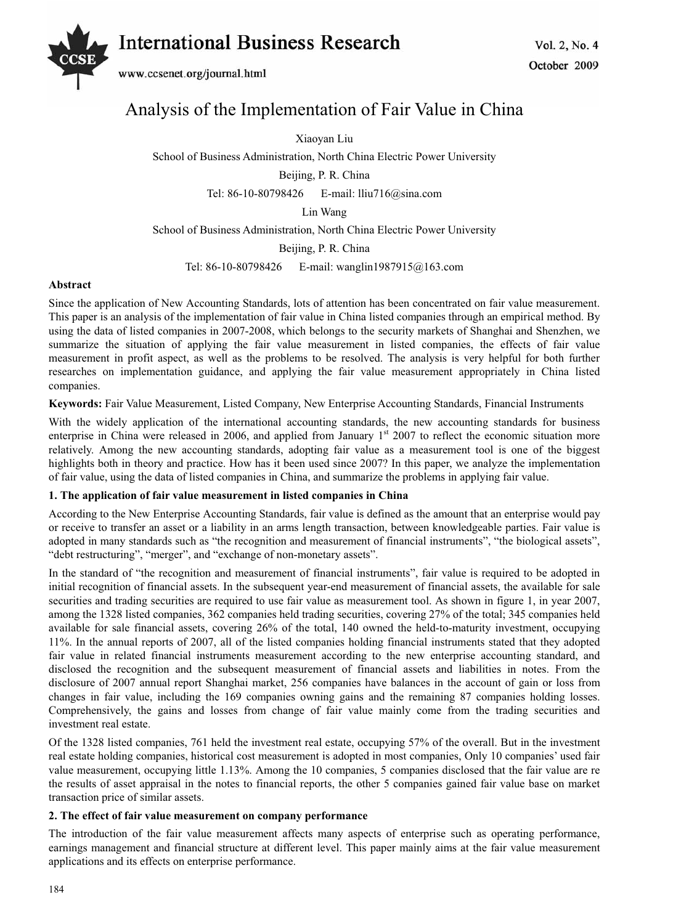# Vol. 2, No. 4 *International Business Research*



# Analysis of the Implementation of Fair Value in China

Xiaoyan Liu

School of Business Administration, North China Electric Power University

Beijing, P. R. China

Tel: 86-10-80798426 E-mail: lliu716@sina.com

Lin Wang

School of Business Administration, North China Electric Power University

Beijing, P. R. China

Tel: 86-10-80798426 E-mail: wanglin1987915@163.com

# **Abstract**

Since the application of New Accounting Standards, lots of attention has been concentrated on fair value measurement. This paper is an analysis of the implementation of fair value in China listed companies through an empirical method. By using the data of listed companies in 2007-2008, which belongs to the security markets of Shanghai and Shenzhen, we summarize the situation of applying the fair value measurement in listed companies, the effects of fair value measurement in profit aspect, as well as the problems to be resolved. The analysis is very helpful for both further researches on implementation guidance, and applying the fair value measurement appropriately in China listed companies.

**Keywords:** Fair Value Measurement, Listed Company, New Enterprise Accounting Standards, Financial Instruments

With the widely application of the international accounting standards, the new accounting standards for business enterprise in China were released in 2006, and applied from January 1<sup>st</sup> 2007 to reflect the economic situation more relatively. Among the new accounting standards, adopting fair value as a measurement tool is one of the biggest highlights both in theory and practice. How has it been used since 2007? In this paper, we analyze the implementation of fair value, using the data of listed companies in China, and summarize the problems in applying fair value.

# **1. The application of fair value measurement in listed companies in China**

According to the New Enterprise Accounting Standards, fair value is defined as the amount that an enterprise would pay or receive to transfer an asset or a liability in an arms length transaction, between knowledgeable parties. Fair value is adopted in many standards such as "the recognition and measurement of financial instruments", "the biological assets", "debt restructuring", "merger", and "exchange of non-monetary assets".

In the standard of "the recognition and measurement of financial instruments", fair value is required to be adopted in initial recognition of financial assets. In the subsequent year-end measurement of financial assets, the available for sale securities and trading securities are required to use fair value as measurement tool. As shown in figure 1, in year 2007, among the 1328 listed companies, 362 companies held trading securities, covering 27% of the total; 345 companies held available for sale financial assets, covering 26% of the total, 140 owned the held-to-maturity investment, occupying 11%. In the annual reports of 2007, all of the listed companies holding financial instruments stated that they adopted fair value in related financial instruments measurement according to the new enterprise accounting standard, and disclosed the recognition and the subsequent measurement of financial assets and liabilities in notes. From the disclosure of 2007 annual report Shanghai market, 256 companies have balances in the account of gain or loss from changes in fair value, including the 169 companies owning gains and the remaining 87 companies holding losses. Comprehensively, the gains and losses from change of fair value mainly come from the trading securities and investment real estate.

Of the 1328 listed companies, 761 held the investment real estate, occupying 57% of the overall. But in the investment real estate holding companies, historical cost measurement is adopted in most companies, Only 10 companies' used fair value measurement, occupying little 1.13%. Among the 10 companies, 5 companies disclosed that the fair value are re the results of asset appraisal in the notes to financial reports, the other 5 companies gained fair value base on market transaction price of similar assets.

# **2. The effect of fair value measurement on company performance**

The introduction of the fair value measurement affects many aspects of enterprise such as operating performance, earnings management and financial structure at different level. This paper mainly aims at the fair value measurement applications and its effects on enterprise performance.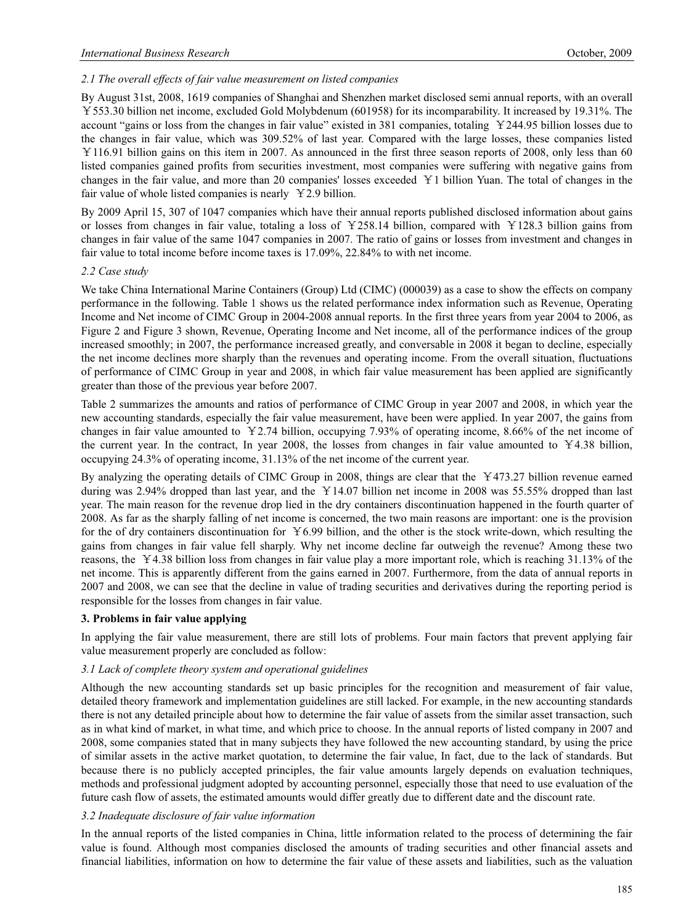### *2.1 The overall effects of fair value measurement on listed companies*

By August 31st, 2008, 1619 companies of Shanghai and Shenzhen market disclosed semi annual reports, with an overall ̞553.30 billion net income, excluded Gold Molybdenum (601958) for its incomparability. It increased by 19.31%. The account "gains or loss from the changes in fair value" existed in 381 companies, totaling  $Y244.95$  billion losses due to the changes in fair value, which was 309.52% of last year. Compared with the large losses, these companies listed ̞116.91 billion gains on this item in 2007. As announced in the first three season reports of 2008, only less than 60 listed companies gained profits from securities investment, most companies were suffering with negative gains from changes in the fair value, and more than 20 companies' losses exceeded  $Y1$  billion Yuan. The total of changes in the fair value of whole listed companies is nearly  $\angle$   $\angle$  2.9 billion.

By 2009 April 15, 307 of 1047 companies which have their annual reports published disclosed information about gains or losses from changes in fair value, totaling a loss of  $Y258.14$  billion, compared with  $Y128.3$  billion gains from changes in fair value of the same 1047 companies in 2007. The ratio of gains or losses from investment and changes in fair value to total income before income taxes is 17.09%, 22.84% to with net income.

#### *2.2 Case study*

We take China International Marine Containers (Group) Ltd (CIMC) (000039) as a case to show the effects on company performance in the following. Table 1 shows us the related performance index information such as Revenue, Operating Income and Net income of CIMC Group in 2004-2008 annual reports. In the first three years from year 2004 to 2006, as Figure 2 and Figure 3 shown, Revenue, Operating Income and Net income, all of the performance indices of the group increased smoothly; in 2007, the performance increased greatly, and conversable in 2008 it began to decline, especially the net income declines more sharply than the revenues and operating income. From the overall situation, fluctuations of performance of CIMC Group in year and 2008, in which fair value measurement has been applied are significantly greater than those of the previous year before 2007.

Table 2 summarizes the amounts and ratios of performance of CIMC Group in year 2007 and 2008, in which year the new accounting standards, especially the fair value measurement, have been were applied. In year 2007, the gains from changes in fair value amounted to Y2.74 billion, occupying 7.93% of operating income, 8.66% of the net income of the current year. In the contract, In year 2008, the losses from changes in fair value amounted to  $Y4.38$  billion, occupying 24.3% of operating income, 31.13% of the net income of the current year.

By analyzing the operating details of CIMC Group in 2008, things are clear that the *Y473.27* billion revenue earned during was 2.94% dropped than last year, and the  $Y14.07$  billion net income in 2008 was 55.55% dropped than last year. The main reason for the revenue drop lied in the dry containers discontinuation happened in the fourth quarter of 2008. As far as the sharply falling of net income is concerned, the two main reasons are important: one is the provision for the of dry containers discontinuation for  $Y6.99$  billion, and the other is the stock write-down, which resulting the gains from changes in fair value fell sharply. Why net income decline far outweigh the revenue? Among these two reasons, the  $\overline{Y}$ 4.38 billion loss from changes in fair value play a more important role, which is reaching 31.13% of the net income. This is apparently different from the gains earned in 2007. Furthermore, from the data of annual reports in 2007 and 2008, we can see that the decline in value of trading securities and derivatives during the reporting period is responsible for the losses from changes in fair value.

#### **3. Problems in fair value applying**

In applying the fair value measurement, there are still lots of problems. Four main factors that prevent applying fair value measurement properly are concluded as follow:

#### *3.1 Lack of complete theory system and operational guidelines*

Although the new accounting standards set up basic principles for the recognition and measurement of fair value, detailed theory framework and implementation guidelines are still lacked. For example, in the new accounting standards there is not any detailed principle about how to determine the fair value of assets from the similar asset transaction, such as in what kind of market, in what time, and which price to choose. In the annual reports of listed company in 2007 and 2008, some companies stated that in many subjects they have followed the new accounting standard, by using the price of similar assets in the active market quotation, to determine the fair value, In fact, due to the lack of standards. But because there is no publicly accepted principles, the fair value amounts largely depends on evaluation techniques, methods and professional judgment adopted by accounting personnel, especially those that need to use evaluation of the future cash flow of assets, the estimated amounts would differ greatly due to different date and the discount rate.

#### *3.2 Inadequate disclosure of fair value information*

In the annual reports of the listed companies in China, little information related to the process of determining the fair value is found. Although most companies disclosed the amounts of trading securities and other financial assets and financial liabilities, information on how to determine the fair value of these assets and liabilities, such as the valuation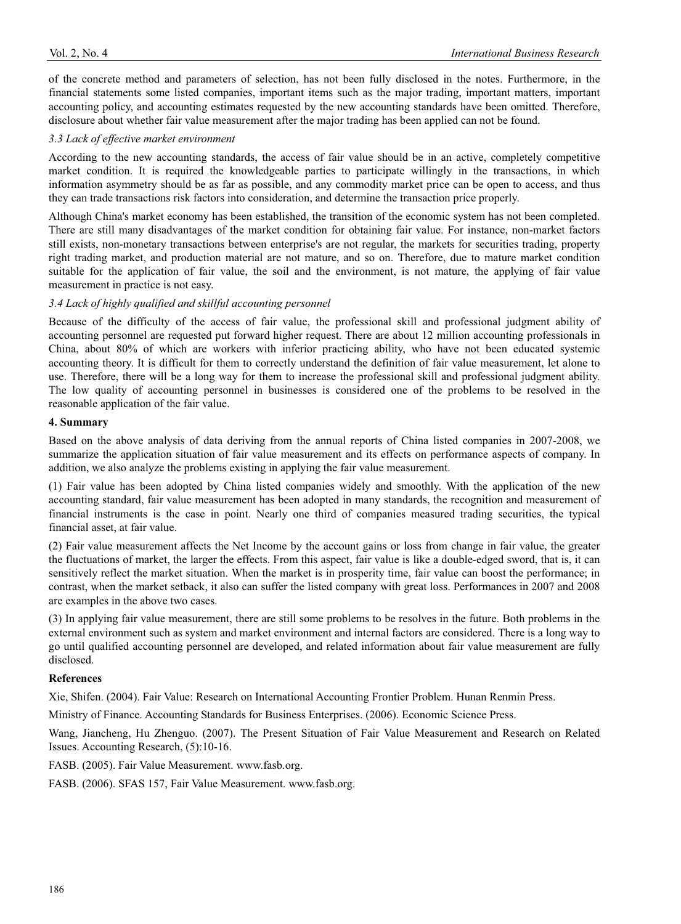of the concrete method and parameters of selection, has not been fully disclosed in the notes. Furthermore, in the financial statements some listed companies, important items such as the major trading, important matters, important accounting policy, and accounting estimates requested by the new accounting standards have been omitted. Therefore, disclosure about whether fair value measurement after the major trading has been applied can not be found.

#### *3.3 Lack of effective market environment*

According to the new accounting standards, the access of fair value should be in an active, completely competitive market condition. It is required the knowledgeable parties to participate willingly in the transactions, in which information asymmetry should be as far as possible, and any commodity market price can be open to access, and thus they can trade transactions risk factors into consideration, and determine the transaction price properly.

Although China's market economy has been established, the transition of the economic system has not been completed. There are still many disadvantages of the market condition for obtaining fair value. For instance, non-market factors still exists, non-monetary transactions between enterprise's are not regular, the markets for securities trading, property right trading market, and production material are not mature, and so on. Therefore, due to mature market condition suitable for the application of fair value, the soil and the environment, is not mature, the applying of fair value measurement in practice is not easy.

# *3.4 Lack of highly qualified and skillful accounting personnel*

Because of the difficulty of the access of fair value, the professional skill and professional judgment ability of accounting personnel are requested put forward higher request. There are about 12 million accounting professionals in China, about 80% of which are workers with inferior practicing ability, who have not been educated systemic accounting theory. It is difficult for them to correctly understand the definition of fair value measurement, let alone to use. Therefore, there will be a long way for them to increase the professional skill and professional judgment ability. The low quality of accounting personnel in businesses is considered one of the problems to be resolved in the reasonable application of the fair value.

# **4. Summary**

Based on the above analysis of data deriving from the annual reports of China listed companies in 2007-2008, we summarize the application situation of fair value measurement and its effects on performance aspects of company. In addition, we also analyze the problems existing in applying the fair value measurement.

(1) Fair value has been adopted by China listed companies widely and smoothly. With the application of the new accounting standard, fair value measurement has been adopted in many standards, the recognition and measurement of financial instruments is the case in point. Nearly one third of companies measured trading securities, the typical financial asset, at fair value.

(2) Fair value measurement affects the Net Income by the account gains or loss from change in fair value, the greater the fluctuations of market, the larger the effects. From this aspect, fair value is like a double-edged sword, that is, it can sensitively reflect the market situation. When the market is in prosperity time, fair value can boost the performance; in contrast, when the market setback, it also can suffer the listed company with great loss. Performances in 2007 and 2008 are examples in the above two cases.

(3) In applying fair value measurement, there are still some problems to be resolves in the future. Both problems in the external environment such as system and market environment and internal factors are considered. There is a long way to go until qualified accounting personnel are developed, and related information about fair value measurement are fully disclosed.

#### **References**

Xie, Shifen. (2004). Fair Value: Research on International Accounting Frontier Problem. Hunan Renmin Press.

Ministry of Finance. Accounting Standards for Business Enterprises. (2006). Economic Science Press.

Wang, Jiancheng, Hu Zhenguo. (2007). The Present Situation of Fair Value Measurement and Research on Related Issues. Accounting Research, (5):10-16.

FASB. (2005). Fair Value Measurement. www.fasb.org.

FASB. (2006). SFAS 157, Fair Value Measurement. www.fasb.org.